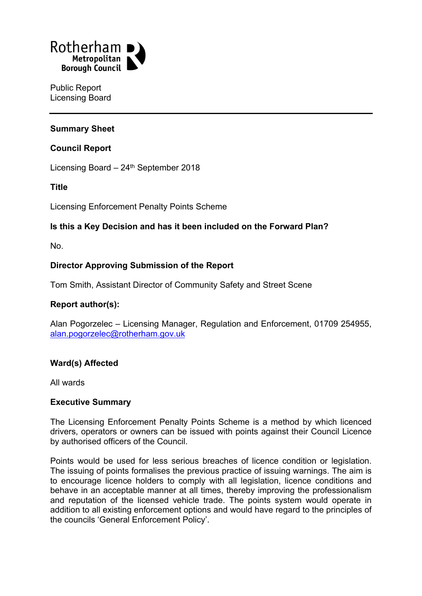

Public Report Licensing Board

## **Summary Sheet**

### **Council Report**

Licensing Board - 24<sup>th</sup> September 2018

### **Title**

Licensing Enforcement Penalty Points Scheme

## **Is this a Key Decision and has it been included on the Forward Plan?**

No.

### **Director Approving Submission of the Report**

Tom Smith, Assistant Director of Community Safety and Street Scene

### **Report author(s):**

Alan Pogorzelec – Licensing Manager, Regulation and Enforcement, 01709 254955, [alan.pogorzelec@rotherham.gov.uk](mailto:alan.pogorzelec@rotherham.gov.uk)

### **Ward(s) Affected**

All wards

#### **Executive Summary**

The Licensing Enforcement Penalty Points Scheme is a method by which licenced drivers, operators or owners can be issued with points against their Council Licence by authorised officers of the Council.

Points would be used for less serious breaches of licence condition or legislation. The issuing of points formalises the previous practice of issuing warnings. The aim is to encourage licence holders to comply with all legislation, licence conditions and behave in an acceptable manner at all times, thereby improving the professionalism and reputation of the licensed vehicle trade. The points system would operate in addition to all existing enforcement options and would have regard to the principles of the councils 'General Enforcement Policy'.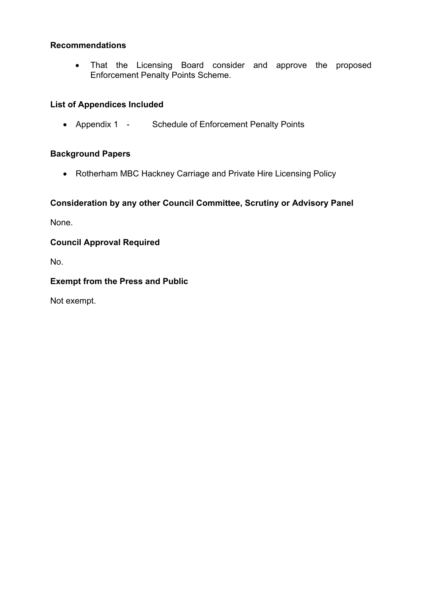## **Recommendations**

 That the Licensing Board consider and approve the proposed Enforcement Penalty Points Scheme.

## **List of Appendices Included**

• Appendix 1 - Schedule of Enforcement Penalty Points

## **Background Papers**

Rotherham MBC Hackney Carriage and Private Hire Licensing Policy

# **Consideration by any other Council Committee, Scrutiny or Advisory Panel**

None.

## **Council Approval Required**

No.

## **Exempt from the Press and Public**

Not exempt.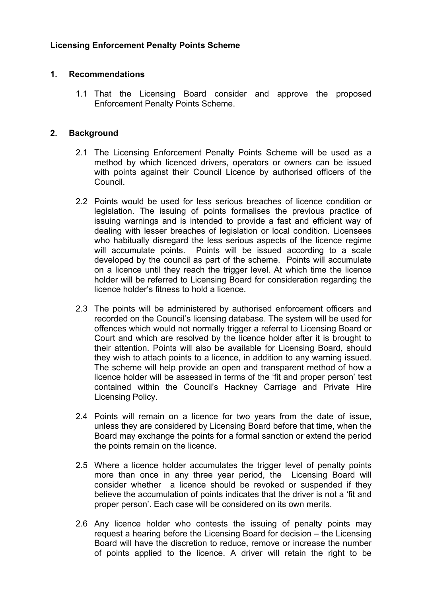## **Licensing Enforcement Penalty Points Scheme**

### **1. Recommendations**

1.1 That the Licensing Board consider and approve the proposed Enforcement Penalty Points Scheme.

### **2. Background**

- 2.1 The Licensing Enforcement Penalty Points Scheme will be used as a method by which licenced drivers, operators or owners can be issued with points against their Council Licence by authorised officers of the Council.
- 2.2 Points would be used for less serious breaches of licence condition or legislation. The issuing of points formalises the previous practice of issuing warnings and is intended to provide a fast and efficient way of dealing with lesser breaches of legislation or local condition. Licensees who habitually disregard the less serious aspects of the licence regime will accumulate points. Points will be issued according to a scale developed by the council as part of the scheme. Points will accumulate on a licence until they reach the trigger level. At which time the licence holder will be referred to Licensing Board for consideration regarding the licence holder's fitness to hold a licence.
- 2.3 The points will be administered by authorised enforcement officers and recorded on the Council's licensing database. The system will be used for offences which would not normally trigger a referral to Licensing Board or Court and which are resolved by the licence holder after it is brought to their attention. Points will also be available for Licensing Board, should they wish to attach points to a licence, in addition to any warning issued. The scheme will help provide an open and transparent method of how a licence holder will be assessed in terms of the 'fit and proper person' test contained within the Council's Hackney Carriage and Private Hire Licensing Policy.
- 2.4 Points will remain on a licence for two years from the date of issue, unless they are considered by Licensing Board before that time, when the Board may exchange the points for a formal sanction or extend the period the points remain on the licence.
- 2.5 Where a licence holder accumulates the trigger level of penalty points more than once in any three year period, the Licensing Board will consider whether a licence should be revoked or suspended if they believe the accumulation of points indicates that the driver is not a 'fit and proper person'. Each case will be considered on its own merits.
- 2.6 Any licence holder who contests the issuing of penalty points may request a hearing before the Licensing Board for decision – the Licensing Board will have the discretion to reduce, remove or increase the number of points applied to the licence. A driver will retain the right to be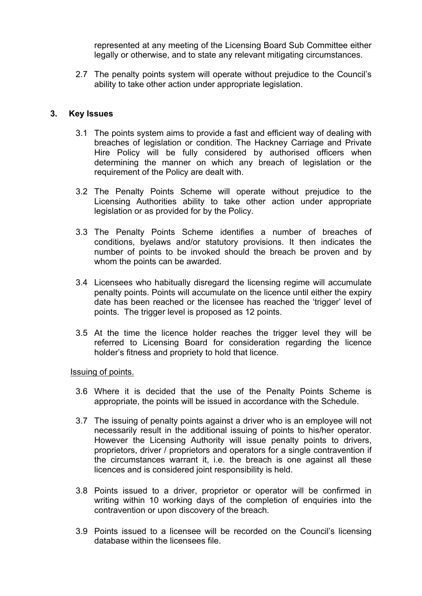represented at any meeting of the Licensing Board Sub Committee either legally or otherwise, and to state any relevant mitigating circumstances.

2.7 The penalty points system will operate without prejudice to the Council's ability to take other action under appropriate legislation.

#### **3. Key Issues**

- 3.1 The points system aims to provide a fast and efficient way of dealing with breaches of legislation or condition. The Hackney Carriage and Private Hire Policy will be fully considered by authorised officers when determining the manner on which any breach of legislation or the requirement of the Policy are dealt with.
- 3.2 The Penalty Points Scheme will operate without prejudice to the Licensing Authorities ability to take other action under appropriate legislation or as provided for by the Policy.
- 3.3 The Penalty Points Scheme identifies a number of breaches of conditions, byelaws and/or statutory provisions. It then indicates the number of points to be invoked should the breach be proven and by whom the points can be awarded.
- 3.4 Licensees who habitually disregard the licensing regime will accumulate penalty points. Points will accumulate on the licence until either the expiry date has been reached or the licensee has reached the 'trigger' level of points. The trigger level is proposed as 12 points.
- 3.5 At the time the licence holder reaches the trigger level they will be referred to Licensing Board for consideration regarding the licence holder's fitness and propriety to hold that licence.

#### Issuing of points.

- 3.6 Where it is decided that the use of the Penalty Points Scheme is appropriate, the points will be issued in accordance with the Schedule.
- 3.7 The issuing of penalty points against a driver who is an employee will not necessarily result in the additional issuing of points to his/her operator. However the Licensing Authority will issue penalty points to drivers, proprietors, driver / proprietors and operators for a single contravention if the circumstances warrant it, i.e. the breach is one against all these licences and is considered joint responsibility is held.
- 3.8 Points issued to a driver, proprietor or operator will be confirmed in writing within 10 working days of the completion of enquiries into the contravention or upon discovery of the breach.
- 3.9 Points issued to a licensee will be recorded on the Council's licensing database within the licensees file.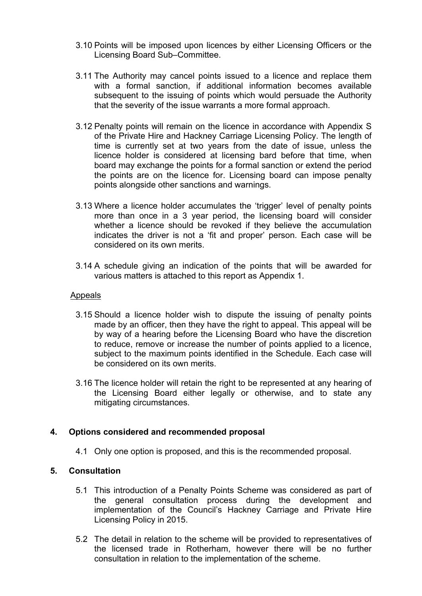- 3.10 Points will be imposed upon licences by either Licensing Officers or the Licensing Board Sub–Committee.
- 3.11 The Authority may cancel points issued to a licence and replace them with a formal sanction, if additional information becomes available subsequent to the issuing of points which would persuade the Authority that the severity of the issue warrants a more formal approach.
- 3.12 Penalty points will remain on the licence in accordance with Appendix S of the Private Hire and Hackney Carriage Licensing Policy. The length of time is currently set at two years from the date of issue, unless the licence holder is considered at licensing bard before that time, when board may exchange the points for a formal sanction or extend the period the points are on the licence for. Licensing board can impose penalty points alongside other sanctions and warnings.
- 3.13 Where a licence holder accumulates the 'trigger' level of penalty points more than once in a 3 year period, the licensing board will consider whether a licence should be revoked if they believe the accumulation indicates the driver is not a 'fit and proper' person. Each case will be considered on its own merits.
- 3.14 A schedule giving an indication of the points that will be awarded for various matters is attached to this report as Appendix 1.

#### Appeals

- 3.15 Should a licence holder wish to dispute the issuing of penalty points made by an officer, then they have the right to appeal. This appeal will be by way of a hearing before the Licensing Board who have the discretion to reduce, remove or increase the number of points applied to a licence, subject to the maximum points identified in the Schedule. Each case will be considered on its own merits.
- 3.16 The licence holder will retain the right to be represented at any hearing of the Licensing Board either legally or otherwise, and to state any mitigating circumstances.

### **4. Options considered and recommended proposal**

4.1 Only one option is proposed, and this is the recommended proposal.

### **5. Consultation**

- 5.1 This introduction of a Penalty Points Scheme was considered as part of the general consultation process during the development and implementation of the Council's Hackney Carriage and Private Hire Licensing Policy in 2015.
- 5.2 The detail in relation to the scheme will be provided to representatives of the licensed trade in Rotherham, however there will be no further consultation in relation to the implementation of the scheme.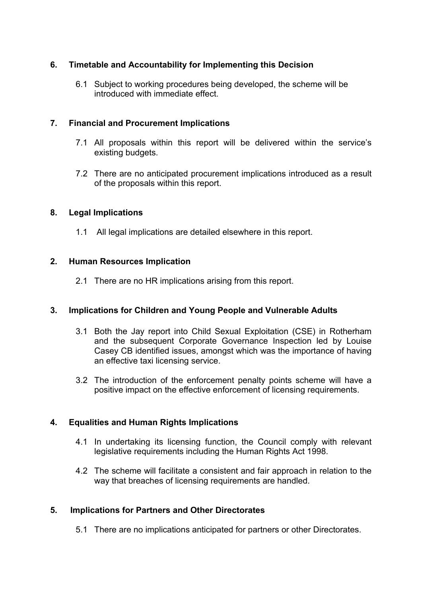# **6. Timetable and Accountability for Implementing this Decision**

6.1 Subject to working procedures being developed, the scheme will be introduced with immediate effect.

## **7. Financial and Procurement Implications**

- 7.1 All proposals within this report will be delivered within the service's existing budgets.
- 7.2 There are no anticipated procurement implications introduced as a result of the proposals within this report.

## **8. Legal Implications**

1.1 All legal implications are detailed elsewhere in this report.

## **2. Human Resources Implication**

2.1 There are no HR implications arising from this report.

## **3. Implications for Children and Young People and Vulnerable Adults**

- 3.1 Both the Jay report into Child Sexual Exploitation (CSE) in Rotherham and the subsequent Corporate Governance Inspection led by Louise Casey CB identified issues, amongst which was the importance of having an effective taxi licensing service.
- 3.2 The introduction of the enforcement penalty points scheme will have a positive impact on the effective enforcement of licensing requirements.

## **4. Equalities and Human Rights Implications**

- 4.1 In undertaking its licensing function, the Council comply with relevant legislative requirements including the Human Rights Act 1998.
- 4.2 The scheme will facilitate a consistent and fair approach in relation to the way that breaches of licensing requirements are handled.

## **5. Implications for Partners and Other Directorates**

5.1 There are no implications anticipated for partners or other Directorates.